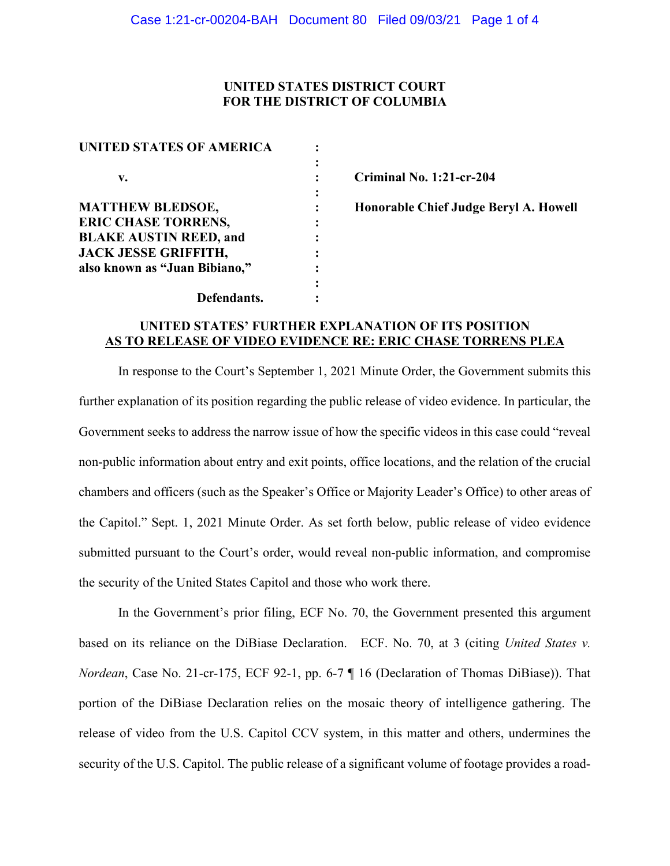## **UNITED STATES DISTRICT COURT FOR THE DISTRICT OF COLUMBIA**

| <b>UNITED STATES OF AMERICA</b> |  |
|---------------------------------|--|
|                                 |  |
| V.                              |  |
|                                 |  |
| <b>MATTHEW BLEDSOE,</b>         |  |
| <b>ERIC CHASE TORRENS,</b>      |  |
| <b>BLAKE AUSTIN REED, and</b>   |  |
| <b>JACK JESSE GRIFFITH,</b>     |  |
| also known as "Juan Bibiano,"   |  |
|                                 |  |
| Defendants.                     |  |

**v. : Criminal No. 1:21-cr-204**

**Honorable Chief Judge Beryl A. Howell** 

## **UNITED STATES' FURTHER EXPLANATION OF ITS POSITION AS TO RELEASE OF VIDEO EVIDENCE RE: ERIC CHASE TORRENS PLEA**

In response to the Court's September 1, 2021 Minute Order, the Government submits this further explanation of its position regarding the public release of video evidence. In particular, the Government seeks to address the narrow issue of how the specific videos in this case could "reveal non-public information about entry and exit points, office locations, and the relation of the crucial chambers and officers (such as the Speaker's Office or Majority Leader's Office) to other areas of the Capitol." Sept. 1, 2021 Minute Order. As set forth below, public release of video evidence submitted pursuant to the Court's order, would reveal non-public information, and compromise the security of the United States Capitol and those who work there.

In the Government's prior filing, ECF No. 70, the Government presented this argument based on its reliance on the DiBiase Declaration. ECF. No. 70, at 3 (citing *United States v. Nordean*, Case No. 21-cr-175, ECF 92-1, pp. 6-7 ¶ 16 (Declaration of Thomas DiBiase)). That portion of the DiBiase Declaration relies on the mosaic theory of intelligence gathering. The release of video from the U.S. Capitol CCV system, in this matter and others, undermines the security of the U.S. Capitol. The public release of a significant volume of footage provides a road-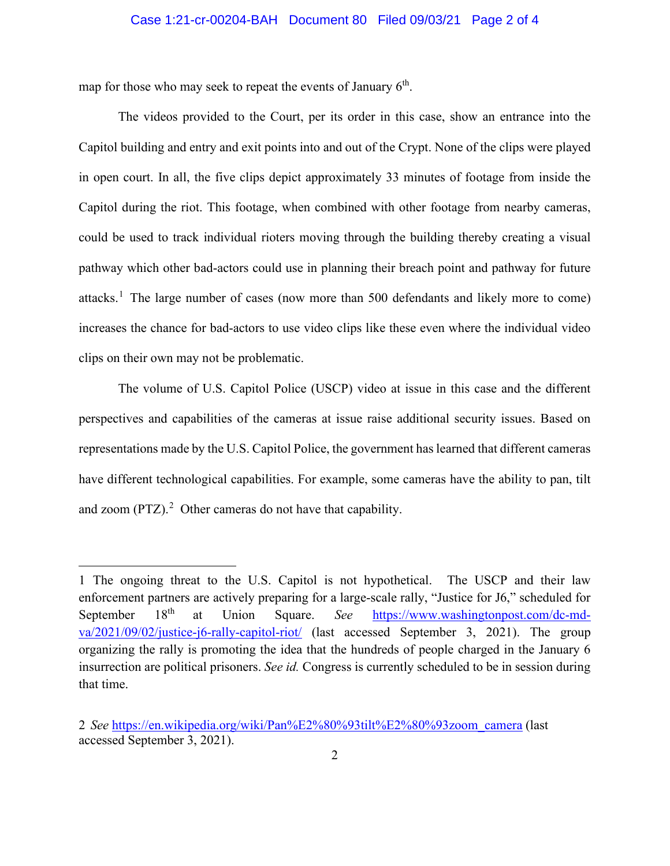## Case 1:21-cr-00204-BAH Document 80 Filed 09/03/21 Page 2 of 4

map for those who may seek to repeat the events of January  $6<sup>th</sup>$ .

The videos provided to the Court, per its order in this case, show an entrance into the Capitol building and entry and exit points into and out of the Crypt. None of the clips were played in open court. In all, the five clips depict approximately 33 minutes of footage from inside the Capitol during the riot. This footage, when combined with other footage from nearby cameras, could be used to track individual rioters moving through the building thereby creating a visual pathway which other bad-actors could use in planning their breach point and pathway for future attacks.<sup>1</sup> The large number of cases (now more than 500 defendants and likely more to come) increases the chance for bad-actors to use video clips like these even where the individual video clips on their own may not be problematic.

The volume of U.S. Capitol Police (USCP) video at issue in this case and the different perspectives and capabilities of the cameras at issue raise additional security issues. Based on representations made by the U.S. Capitol Police, the government has learned that different cameras have different technological capabilities. For example, some cameras have the ability to pan, tilt and zoom  $(PTZ)$ .<sup>2</sup> Other cameras do not have that capability.

<sup>1</sup> The ongoing threat to the U.S. Capitol is not hypothetical. The USCP and their law enforcement partners are actively preparing for a large-scale rally, "Justice for J6," scheduled for September 18<sup>th</sup> at Union Square. *See* https://www.washingtonpost.com/dc-mdva/2021/09/02/justice-j6-rally-capitol-riot/ (last accessed September 3, 2021). The group organizing the rally is promoting the idea that the hundreds of people charged in the January 6 insurrection are political prisoners. *See id.* Congress is currently scheduled to be in session during that time.

<sup>2</sup> *See* https://en.wikipedia.org/wiki/Pan%E2%80%93tilt%E2%80%93zoom\_camera (last accessed September 3, 2021).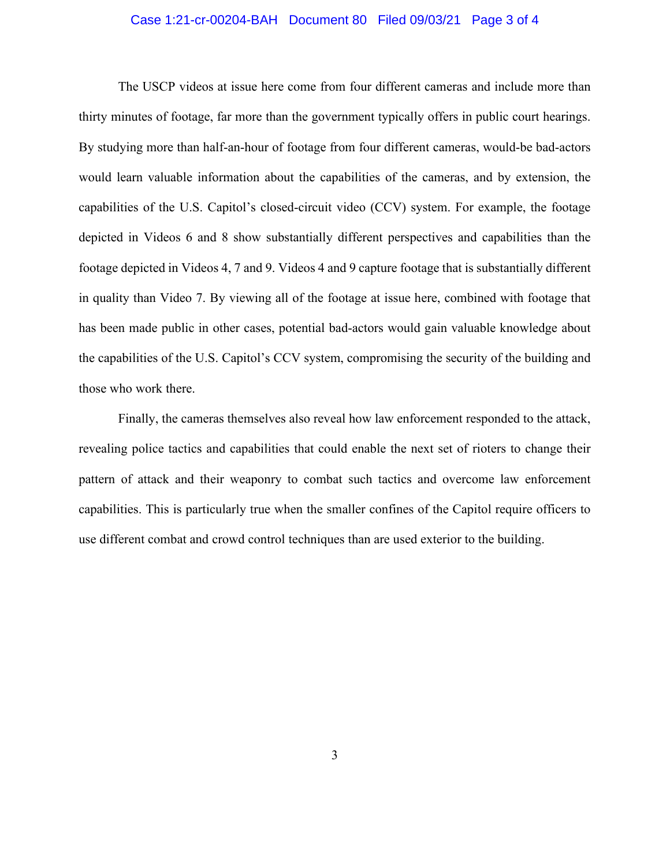## Case 1:21-cr-00204-BAH Document 80 Filed 09/03/21 Page 3 of 4

The USCP videos at issue here come from four different cameras and include more than thirty minutes of footage, far more than the government typically offers in public court hearings. By studying more than half-an-hour of footage from four different cameras, would-be bad-actors would learn valuable information about the capabilities of the cameras, and by extension, the capabilities of the U.S. Capitol's closed-circuit video (CCV) system. For example, the footage depicted in Videos 6 and 8 show substantially different perspectives and capabilities than the footage depicted in Videos 4, 7 and 9. Videos 4 and 9 capture footage that is substantially different in quality than Video 7. By viewing all of the footage at issue here, combined with footage that has been made public in other cases, potential bad-actors would gain valuable knowledge about the capabilities of the U.S. Capitol's CCV system, compromising the security of the building and those who work there.

Finally, the cameras themselves also reveal how law enforcement responded to the attack, revealing police tactics and capabilities that could enable the next set of rioters to change their pattern of attack and their weaponry to combat such tactics and overcome law enforcement capabilities. This is particularly true when the smaller confines of the Capitol require officers to use different combat and crowd control techniques than are used exterior to the building.